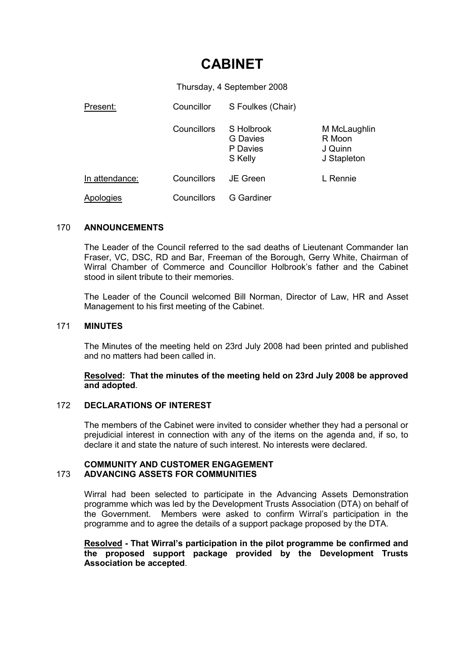# CABINET

Thursday, 4 September 2008

| Present:       | Councillor         | S Foulkes (Chair)                             |                                                  |
|----------------|--------------------|-----------------------------------------------|--------------------------------------------------|
|                | Councillors        | S Holbrook<br>G Davies<br>P Davies<br>S Kelly | M McLaughlin<br>R Moon<br>J Quinn<br>J Stapleton |
| In attendance: | <b>Councillors</b> | JE Green                                      | L Rennie                                         |
| Apologies      | Councillors        | G Gardiner                                    |                                                  |

## 170 ANNOUNCEMENTS

The Leader of the Council referred to the sad deaths of Lieutenant Commander Ian Fraser, VC, DSC, RD and Bar, Freeman of the Borough, Gerry White, Chairman of Wirral Chamber of Commerce and Councillor Holbrook's father and the Cabinet stood in silent tribute to their memories.

The Leader of the Council welcomed Bill Norman, Director of Law, HR and Asset Management to his first meeting of the Cabinet.

#### 171 MINUTES

The Minutes of the meeting held on 23rd July 2008 had been printed and published and no matters had been called in.

## Resolved: That the minutes of the meeting held on 23rd July 2008 be approved and adopted.

#### 172 DECLARATIONS OF INTEREST

The members of the Cabinet were invited to consider whether they had a personal or prejudicial interest in connection with any of the items on the agenda and, if so, to declare it and state the nature of such interest. No interests were declared.

#### COMMUNITY AND CUSTOMER ENGAGEMENT 173 ADVANCING ASSETS FOR COMMUNITIES

Wirral had been selected to participate in the Advancing Assets Demonstration programme which was led by the Development Trusts Association (DTA) on behalf of the Government. Members were asked to confirm Wirral's participation in the programme and to agree the details of a support package proposed by the DTA.

Resolved - That Wirral's participation in the pilot programme be confirmed and the proposed support package provided by the Development Trusts Association be accepted.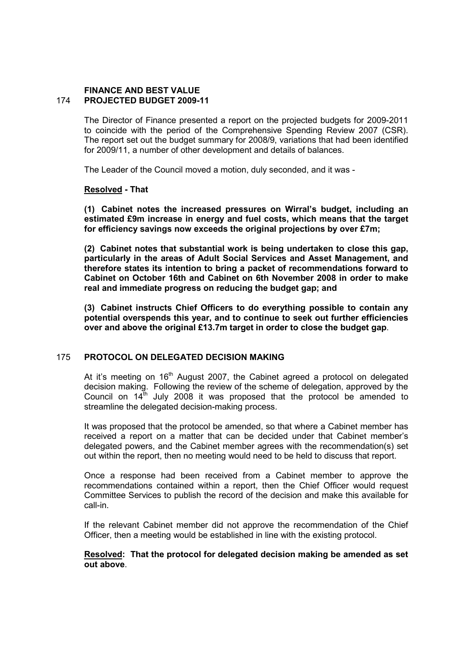## FINANCE AND BEST VALUE 174 PROJECTED BUDGET 2009-11

The Director of Finance presented a report on the projected budgets for 2009-2011 to coincide with the period of the Comprehensive Spending Review 2007 (CSR). The report set out the budget summary for 2008/9, variations that had been identified for 2009/11, a number of other development and details of balances.

The Leader of the Council moved a motion, duly seconded, and it was -

#### Resolved - That

(1) Cabinet notes the increased pressures on Wirral's budget, including an estimated £9m increase in energy and fuel costs, which means that the target for efficiency savings now exceeds the original projections by over £7m;

(2) Cabinet notes that substantial work is being undertaken to close this gap, particularly in the areas of Adult Social Services and Asset Management, and therefore states its intention to bring a packet of recommendations forward to Cabinet on October 16th and Cabinet on 6th November 2008 in order to make real and immediate progress on reducing the budget gap; and

(3) Cabinet instructs Chief Officers to do everything possible to contain any potential overspends this year, and to continue to seek out further efficiencies over and above the original £13.7m target in order to close the budget gap.

#### 175 PROTOCOL ON DELEGATED DECISION MAKING

At it's meeting on  $16<sup>th</sup>$  August 2007, the Cabinet agreed a protocol on delegated decision making. Following the review of the scheme of delegation, approved by the Council on  $14^{\text{th}}$  July 2008 it was proposed that the protocol be amended to streamline the delegated decision-making process.

It was proposed that the protocol be amended, so that where a Cabinet member has received a report on a matter that can be decided under that Cabinet member's delegated powers, and the Cabinet member agrees with the recommendation(s) set out within the report, then no meeting would need to be held to discuss that report.

Once a response had been received from a Cabinet member to approve the recommendations contained within a report, then the Chief Officer would request Committee Services to publish the record of the decision and make this available for call-in.

If the relevant Cabinet member did not approve the recommendation of the Chief Officer, then a meeting would be established in line with the existing protocol.

#### Resolved: That the protocol for delegated decision making be amended as set out above.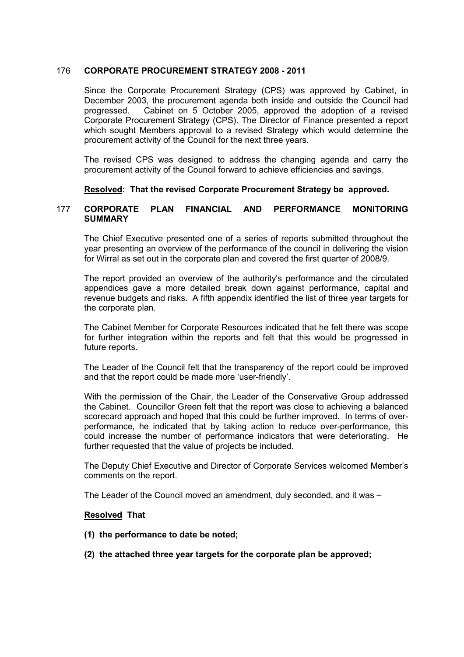## 176 CORPORATE PROCUREMENT STRATEGY 2008 - 2011

Since the Corporate Procurement Strategy (CPS) was approved by Cabinet, in December 2003, the procurement agenda both inside and outside the Council had progressed. Cabinet on 5 October 2005, approved the adoption of a revised Corporate Procurement Strategy (CPS). The Director of Finance presented a report which sought Members approval to a revised Strategy which would determine the procurement activity of the Council for the next three years.

The revised CPS was designed to address the changing agenda and carry the procurement activity of the Council forward to achieve efficiencies and savings.

Resolved: That the revised Corporate Procurement Strategy be approved.

#### 177 CORPORATE PLAN FINANCIAL AND PERFORMANCE MONITORING **SUMMARY**

The Chief Executive presented one of a series of reports submitted throughout the year presenting an overview of the performance of the council in delivering the vision for Wirral as set out in the corporate plan and covered the first quarter of 2008/9.

The report provided an overview of the authority's performance and the circulated appendices gave a more detailed break down against performance, capital and revenue budgets and risks. A fifth appendix identified the list of three year targets for the corporate plan.

The Cabinet Member for Corporate Resources indicated that he felt there was scope for further integration within the reports and felt that this would be progressed in future reports.

The Leader of the Council felt that the transparency of the report could be improved and that the report could be made more 'user-friendly'.

With the permission of the Chair, the Leader of the Conservative Group addressed the Cabinet. Councillor Green felt that the report was close to achieving a balanced scorecard approach and hoped that this could be further improved. In terms of overperformance, he indicated that by taking action to reduce over-performance, this could increase the number of performance indicators that were deteriorating. He further requested that the value of projects be included.

The Deputy Chief Executive and Director of Corporate Services welcomed Member's comments on the report.

The Leader of the Council moved an amendment, duly seconded, and it was –

#### Resolved That

- (1) the performance to date be noted;
- (2) the attached three year targets for the corporate plan be approved;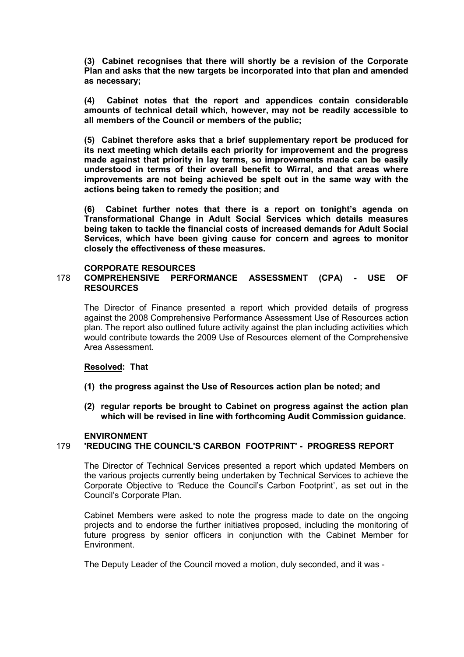(3) Cabinet recognises that there will shortly be a revision of the Corporate Plan and asks that the new targets be incorporated into that plan and amended as necessary;

(4) Cabinet notes that the report and appendices contain considerable amounts of technical detail which, however, may not be readily accessible to all members of the Council or members of the public;

(5) Cabinet therefore asks that a brief supplementary report be produced for its next meeting which details each priority for improvement and the progress made against that priority in lay terms, so improvements made can be easily understood in terms of their overall benefit to Wirral, and that areas where improvements are not being achieved be spelt out in the same way with the actions being taken to remedy the position; and

(6) Cabinet further notes that there is a report on tonight's agenda on Transformational Change in Adult Social Services which details measures being taken to tackle the financial costs of increased demands for Adult Social Services, which have been giving cause for concern and agrees to monitor closely the effectiveness of these measures.

#### CORPORATE RESOURCES

## 178 COMPREHENSIVE PERFORMANCE ASSESSMENT (CPA) - USE OF RESOURCES

The Director of Finance presented a report which provided details of progress against the 2008 Comprehensive Performance Assessment Use of Resources action plan. The report also outlined future activity against the plan including activities which would contribute towards the 2009 Use of Resources element of the Comprehensive Area Assessment.

#### Resolved: That

- (1) the progress against the Use of Resources action plan be noted; and
- (2) regular reports be brought to Cabinet on progress against the action plan which will be revised in line with forthcoming Audit Commission guidance.

#### ENVIRONMENT

## 179 'REDUCING THE COUNCIL'S CARBON FOOTPRINT' - PROGRESS REPORT

The Director of Technical Services presented a report which updated Members on the various projects currently being undertaken by Technical Services to achieve the Corporate Objective to 'Reduce the Council's Carbon Footprint', as set out in the Council's Corporate Plan.

Cabinet Members were asked to note the progress made to date on the ongoing projects and to endorse the further initiatives proposed, including the monitoring of future progress by senior officers in conjunction with the Cabinet Member for Environment.

The Deputy Leader of the Council moved a motion, duly seconded, and it was -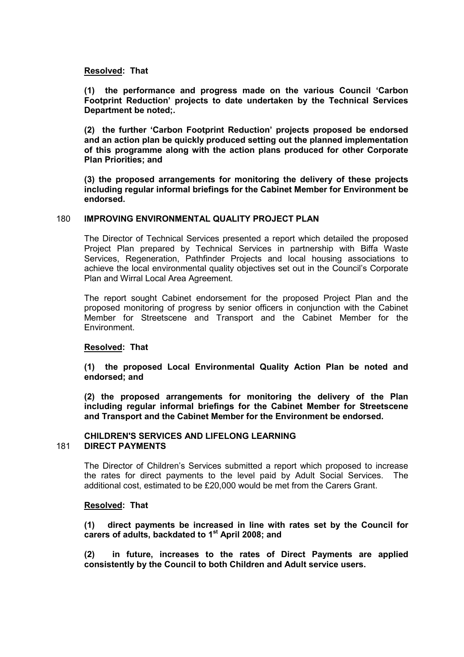#### Resolved: That

(1) the performance and progress made on the various Council 'Carbon Footprint Reduction' projects to date undertaken by the Technical Services Department be noted;.

(2) the further 'Carbon Footprint Reduction' projects proposed be endorsed and an action plan be quickly produced setting out the planned implementation of this programme along with the action plans produced for other Corporate Plan Priorities; and

(3) the proposed arrangements for monitoring the delivery of these projects including regular informal briefings for the Cabinet Member for Environment be endorsed.

#### 180 IMPROVING ENVIRONMENTAL QUALITY PROJECT PLAN

The Director of Technical Services presented a report which detailed the proposed Project Plan prepared by Technical Services in partnership with Biffa Waste Services, Regeneration, Pathfinder Projects and local housing associations to achieve the local environmental quality objectives set out in the Council's Corporate Plan and Wirral Local Area Agreement.

The report sought Cabinet endorsement for the proposed Project Plan and the proposed monitoring of progress by senior officers in conjunction with the Cabinet Member for Streetscene and Transport and the Cabinet Member for the Environment.

#### Resolved: That

(1) the proposed Local Environmental Quality Action Plan be noted and endorsed; and

(2) the proposed arrangements for monitoring the delivery of the Plan including regular informal briefings for the Cabinet Member for Streetscene and Transport and the Cabinet Member for the Environment be endorsed.

#### CHILDREN'S SERVICES AND LIFELONG LEARNING 181 DIRECT PAYMENTS

The Director of Children's Services submitted a report which proposed to increase the rates for direct payments to the level paid by Adult Social Services. The additional cost, estimated to be £20,000 would be met from the Carers Grant.

#### Resolved: That

(1) direct payments be increased in line with rates set by the Council for carers of adults, backdated to 1<sup>st</sup> April 2008; and

(2) in future, increases to the rates of Direct Payments are applied consistently by the Council to both Children and Adult service users.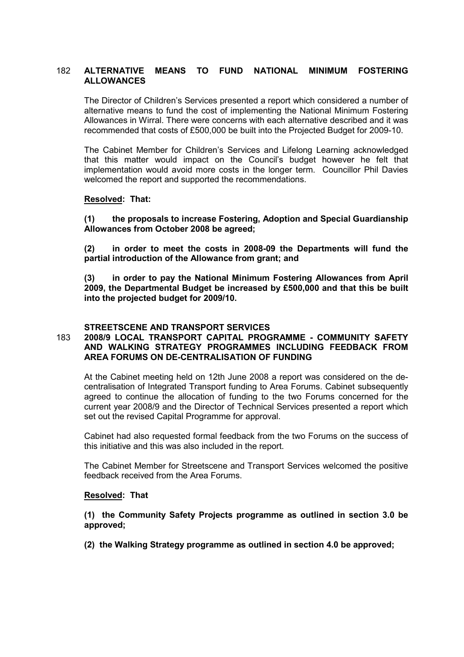## 182 ALTERNATIVE MEANS TO FUND NATIONAL MINIMUM FOSTERING ALLOWANCES

The Director of Children's Services presented a report which considered a number of alternative means to fund the cost of implementing the National Minimum Fostering Allowances in Wirral. There were concerns with each alternative described and it was recommended that costs of £500,000 be built into the Projected Budget for 2009-10.

The Cabinet Member for Children's Services and Lifelong Learning acknowledged that this matter would impact on the Council's budget however he felt that implementation would avoid more costs in the longer term. Councillor Phil Davies welcomed the report and supported the recommendations.

#### Resolved: That:

(1) the proposals to increase Fostering, Adoption and Special Guardianship Allowances from October 2008 be agreed;

(2) in order to meet the costs in 2008-09 the Departments will fund the partial introduction of the Allowance from grant; and

(3) in order to pay the National Minimum Fostering Allowances from April 2009, the Departmental Budget be increased by £500,000 and that this be built into the projected budget for 2009/10.

#### STREETSCENE AND TRANSPORT SERVICES

## 183 2008/9 LOCAL TRANSPORT CAPITAL PROGRAMME - COMMUNITY SAFETY AND WALKING STRATEGY PROGRAMMES INCLUDING FEEDBACK FROM AREA FORUMS ON DE-CENTRALISATION OF FUNDING

At the Cabinet meeting held on 12th June 2008 a report was considered on the decentralisation of Integrated Transport funding to Area Forums. Cabinet subsequently agreed to continue the allocation of funding to the two Forums concerned for the current year 2008/9 and the Director of Technical Services presented a report which set out the revised Capital Programme for approval.

Cabinet had also requested formal feedback from the two Forums on the success of this initiative and this was also included in the report.

The Cabinet Member for Streetscene and Transport Services welcomed the positive feedback received from the Area Forums.

#### Resolved: That

(1) the Community Safety Projects programme as outlined in section 3.0 be approved;

(2) the Walking Strategy programme as outlined in section 4.0 be approved;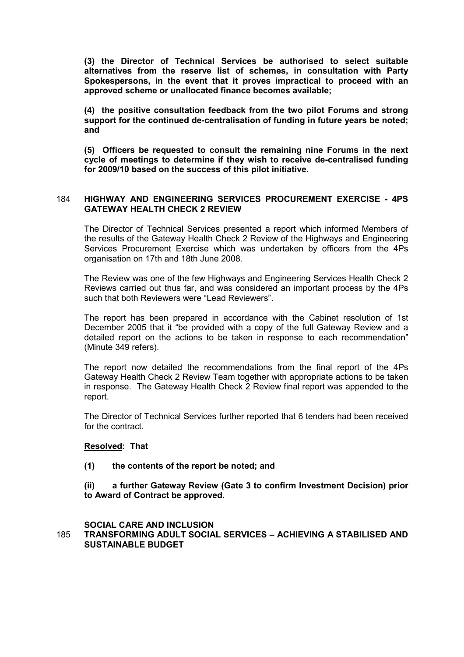(3) the Director of Technical Services be authorised to select suitable alternatives from the reserve list of schemes, in consultation with Party Spokespersons, in the event that it proves impractical to proceed with an approved scheme or unallocated finance becomes available;

(4) the positive consultation feedback from the two pilot Forums and strong support for the continued de-centralisation of funding in future years be noted; and

(5) Officers be requested to consult the remaining nine Forums in the next cycle of meetings to determine if they wish to receive de-centralised funding for 2009/10 based on the success of this pilot initiative.

## 184 HIGHWAY AND ENGINEERING SERVICES PROCUREMENT EXERCISE - 4PS GATEWAY HEALTH CHECK 2 REVIEW

The Director of Technical Services presented a report which informed Members of the results of the Gateway Health Check 2 Review of the Highways and Engineering Services Procurement Exercise which was undertaken by officers from the 4Ps organisation on 17th and 18th June 2008.

The Review was one of the few Highways and Engineering Services Health Check 2 Reviews carried out thus far, and was considered an important process by the 4Ps such that both Reviewers were "Lead Reviewers".

The report has been prepared in accordance with the Cabinet resolution of 1st December 2005 that it "be provided with a copy of the full Gateway Review and a detailed report on the actions to be taken in response to each recommendation" (Minute 349 refers).

The report now detailed the recommendations from the final report of the 4Ps Gateway Health Check 2 Review Team together with appropriate actions to be taken in response. The Gateway Health Check 2 Review final report was appended to the report.

The Director of Technical Services further reported that 6 tenders had been received for the contract.

#### Resolved: That

#### (1) the contents of the report be noted; and

(ii) a further Gateway Review (Gate 3 to confirm Investment Decision) prior to Award of Contract be approved.

## SOCIAL CARE AND INCLUSION

185 TRANSFORMING ADULT SOCIAL SERVICES – ACHIEVING A STABILISED AND SUSTAINABLE BUDGET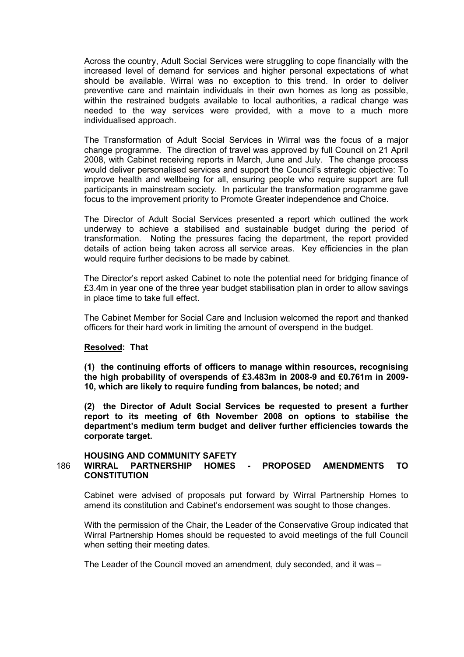Across the country, Adult Social Services were struggling to cope financially with the increased level of demand for services and higher personal expectations of what should be available. Wirral was no exception to this trend. In order to deliver preventive care and maintain individuals in their own homes as long as possible, within the restrained budgets available to local authorities, a radical change was needed to the way services were provided, with a move to a much more individualised approach.

The Transformation of Adult Social Services in Wirral was the focus of a major change programme. The direction of travel was approved by full Council on 21 April 2008, with Cabinet receiving reports in March, June and July. The change process would deliver personalised services and support the Council's strategic objective: To improve health and wellbeing for all, ensuring people who require support are full participants in mainstream society. In particular the transformation programme gave focus to the improvement priority to Promote Greater independence and Choice.

The Director of Adult Social Services presented a report which outlined the work underway to achieve a stabilised and sustainable budget during the period of transformation. Noting the pressures facing the department, the report provided details of action being taken across all service areas. Key efficiencies in the plan would require further decisions to be made by cabinet.

The Director's report asked Cabinet to note the potential need for bridging finance of £3.4m in year one of the three year budget stabilisation plan in order to allow savings in place time to take full effect.

The Cabinet Member for Social Care and Inclusion welcomed the report and thanked officers for their hard work in limiting the amount of overspend in the budget.

#### Resolved: That

(1) the continuing efforts of officers to manage within resources, recognising the high probability of overspends of £3.483m in 2008-9 and £0.761m in 2009- 10, which are likely to require funding from balances, be noted; and

(2) the Director of Adult Social Services be requested to present a further report to its meeting of 6th November 2008 on options to stabilise the department's medium term budget and deliver further efficiencies towards the corporate target.

#### HOUSING AND COMMUNITY SAFETY 186 WIRRAL PARTNERSHIP HOMES - PROPOSED AMENDMENTS TO **CONSTITUTION**

Cabinet were advised of proposals put forward by Wirral Partnership Homes to amend its constitution and Cabinet's endorsement was sought to those changes.

With the permission of the Chair, the Leader of the Conservative Group indicated that Wirral Partnership Homes should be requested to avoid meetings of the full Council when setting their meeting dates.

The Leader of the Council moved an amendment, duly seconded, and it was –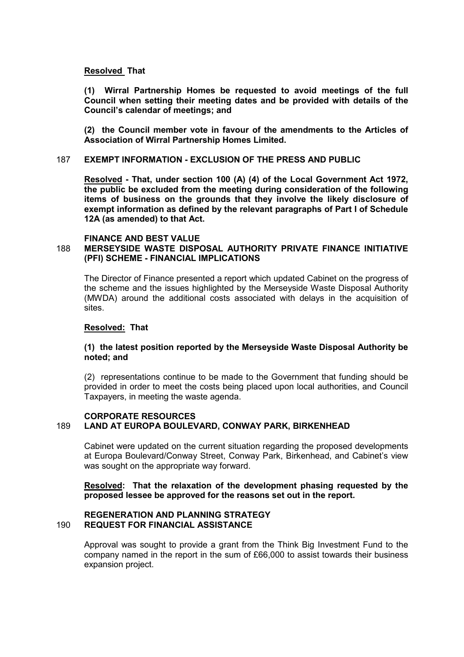#### Resolved That

(1) Wirral Partnership Homes be requested to avoid meetings of the full Council when setting their meeting dates and be provided with details of the Council's calendar of meetings; and

(2) the Council member vote in favour of the amendments to the Articles of Association of Wirral Partnership Homes Limited.

#### 187 EXEMPT INFORMATION - EXCLUSION OF THE PRESS AND PUBLIC

Resolved - That, under section 100 (A) (4) of the Local Government Act 1972, the public be excluded from the meeting during consideration of the following items of business on the grounds that they involve the likely disclosure of exempt information as defined by the relevant paragraphs of Part I of Schedule 12A (as amended) to that Act.

#### FINANCE AND BEST VALUE

## 188 MERSEYSIDE WASTE DISPOSAL AUTHORITY PRIVATE FINANCE INITIATIVE (PFI) SCHEME - FINANCIAL IMPLICATIONS

The Director of Finance presented a report which updated Cabinet on the progress of the scheme and the issues highlighted by the Merseyside Waste Disposal Authority (MWDA) around the additional costs associated with delays in the acquisition of sites.

#### Resolved: That

## (1) the latest position reported by the Merseyside Waste Disposal Authority be noted; and

(2) representations continue to be made to the Government that funding should be provided in order to meet the costs being placed upon local authorities, and Council Taxpayers, in meeting the waste agenda.

#### CORPORATE RESOURCES 189 LAND AT EUROPA BOULEVARD, CONWAY PARK, BIRKENHEAD

Cabinet were updated on the current situation regarding the proposed developments at Europa Boulevard/Conway Street, Conway Park, Birkenhead, and Cabinet's view was sought on the appropriate way forward.

## Resolved: That the relaxation of the development phasing requested by the proposed lessee be approved for the reasons set out in the report.

#### REGENERATION AND PLANNING STRATEGY 190 REQUEST FOR FINANCIAL ASSISTANCE

Approval was sought to provide a grant from the Think Big Investment Fund to the company named in the report in the sum of £66,000 to assist towards their business expansion project.